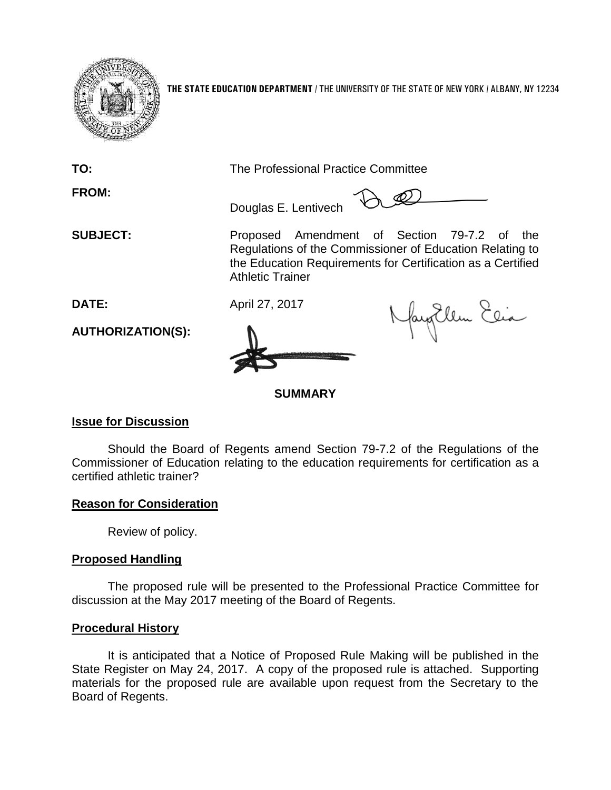

**THE STATE EDUCATION DEPARTMENT** / THE UNIVERSITY OF THE STATE OF NEW YORK / ALBANY, NY 12234

**FROM:**

**TO:** The Professional Practice Committee

Douglas E. Lentivech

**SUBJECT:** Proposed Amendment of Section 79-7.2 of the Regulations of the Commissioner of Education Relating to the Education Requirements for Certification as a Certified Athletic Trainer

 $\mathscr{D}$ 

**DATE:** April 27, 2017



fan Ellen Elia

**SUMMARY**

# **Issue for Discussion**

**AUTHORIZATION(S):**

Should the Board of Regents amend Section 79-7.2 of the Regulations of the Commissioner of Education relating to the education requirements for certification as a certified athletic trainer?

# **Reason for Consideration**

Review of policy.

## **Proposed Handling**

The proposed rule will be presented to the Professional Practice Committee for discussion at the May 2017 meeting of the Board of Regents.

## **Procedural History**

It is anticipated that a Notice of Proposed Rule Making will be published in the State Register on May 24, 2017. A copy of the proposed rule is attached. Supporting materials for the proposed rule are available upon request from the Secretary to the Board of Regents.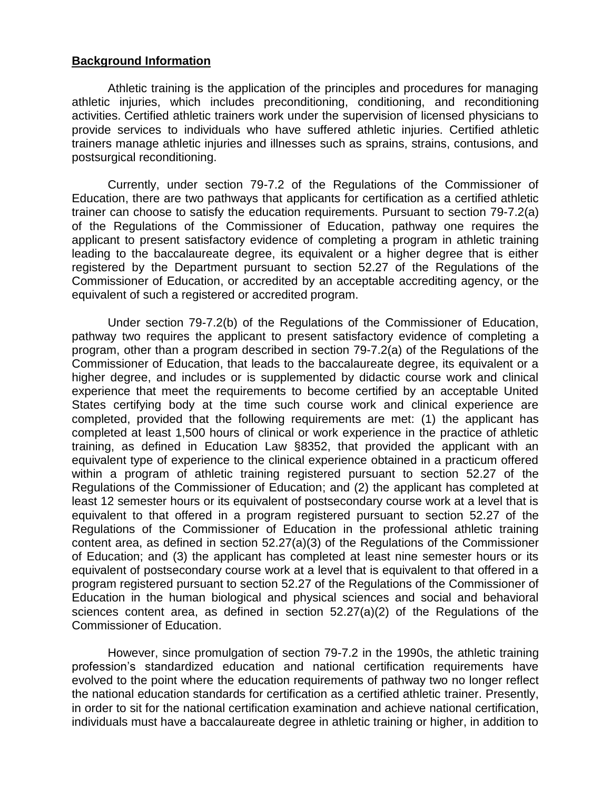#### **Background Information**

Athletic training is the application of the principles and procedures for managing athletic injuries, which includes preconditioning, conditioning, and reconditioning activities. Certified athletic trainers work under the supervision of licensed physicians to provide services to individuals who have suffered athletic injuries. Certified athletic trainers manage athletic injuries and illnesses such as sprains, strains, contusions, and postsurgical reconditioning.

Currently, under section 79-7.2 of the Regulations of the Commissioner of Education, there are two pathways that applicants for certification as a certified athletic trainer can choose to satisfy the education requirements. Pursuant to section 79-7.2(a) of the Regulations of the Commissioner of Education, pathway one requires the applicant to present satisfactory evidence of completing a program in athletic training leading to the baccalaureate degree, its equivalent or a higher degree that is either registered by the Department pursuant to section 52.27 of the Regulations of the Commissioner of Education, or accredited by an acceptable accrediting agency, or the equivalent of such a registered or accredited program.

Under section 79-7.2(b) of the Regulations of the Commissioner of Education, pathway two requires the applicant to present satisfactory evidence of completing a program, other than a program described in section 79-7.2(a) of the Regulations of the Commissioner of Education, that leads to the baccalaureate degree, its equivalent or a higher degree, and includes or is supplemented by didactic course work and clinical experience that meet the requirements to become certified by an acceptable United States certifying body at the time such course work and clinical experience are completed, provided that the following requirements are met: (1) the applicant has completed at least 1,500 hours of clinical or work experience in the practice of athletic training, as defined in Education Law §8352, that provided the applicant with an equivalent type of experience to the clinical experience obtained in a practicum offered within a program of athletic training registered pursuant to section 52.27 of the Regulations of the Commissioner of Education; and (2) the applicant has completed at least 12 semester hours or its equivalent of postsecondary course work at a level that is equivalent to that offered in a program registered pursuant to section 52.27 of the Regulations of the Commissioner of Education in the professional athletic training content area, as defined in section 52.27(a)(3) of the Regulations of the Commissioner of Education; and (3) the applicant has completed at least nine semester hours or its equivalent of postsecondary course work at a level that is equivalent to that offered in a program registered pursuant to section 52.27 of the Regulations of the Commissioner of Education in the human biological and physical sciences and social and behavioral sciences content area, as defined in section 52.27(a)(2) of the Regulations of the Commissioner of Education.

However, since promulgation of section 79-7.2 in the 1990s, the athletic training profession's standardized education and national certification requirements have evolved to the point where the education requirements of pathway two no longer reflect the national education standards for certification as a certified athletic trainer. Presently, in order to sit for the national certification examination and achieve national certification, individuals must have a baccalaureate degree in athletic training or higher, in addition to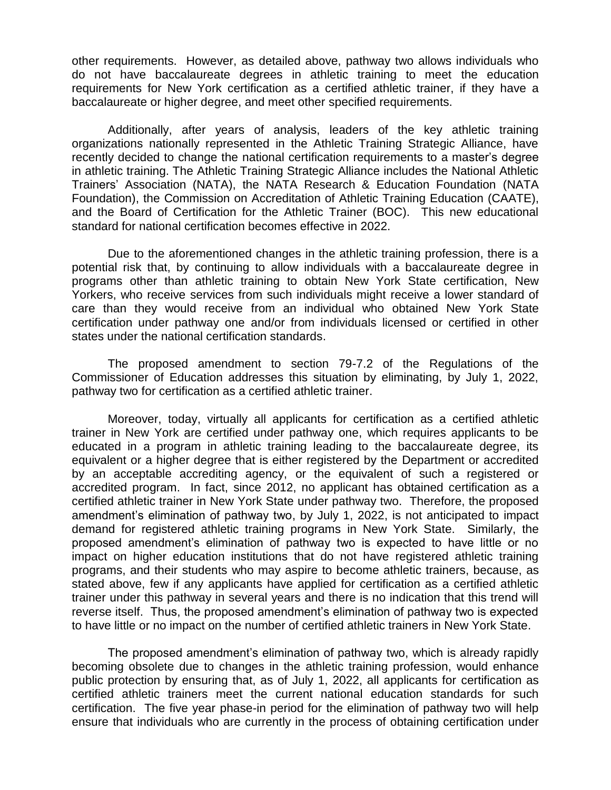other requirements. However, as detailed above, pathway two allows individuals who do not have baccalaureate degrees in athletic training to meet the education requirements for New York certification as a certified athletic trainer, if they have a baccalaureate or higher degree, and meet other specified requirements.

Additionally, after years of analysis, leaders of the key athletic training organizations nationally represented in the Athletic Training Strategic Alliance, have recently decided to change the national certification requirements to a master's degree in athletic training. The Athletic Training Strategic Alliance includes the National Athletic Trainers' Association (NATA), the NATA Research & Education Foundation (NATA Foundation), the Commission on Accreditation of Athletic Training Education (CAATE), and the Board of Certification for the Athletic Trainer (BOC). This new educational standard for national certification becomes effective in 2022.

Due to the aforementioned changes in the athletic training profession, there is a potential risk that, by continuing to allow individuals with a baccalaureate degree in programs other than athletic training to obtain New York State certification, New Yorkers, who receive services from such individuals might receive a lower standard of care than they would receive from an individual who obtained New York State certification under pathway one and/or from individuals licensed or certified in other states under the national certification standards.

The proposed amendment to section 79-7.2 of the Regulations of the Commissioner of Education addresses this situation by eliminating, by July 1, 2022, pathway two for certification as a certified athletic trainer.

Moreover, today, virtually all applicants for certification as a certified athletic trainer in New York are certified under pathway one, which requires applicants to be educated in a program in athletic training leading to the baccalaureate degree, its equivalent or a higher degree that is either registered by the Department or accredited by an acceptable accrediting agency, or the equivalent of such a registered or accredited program. In fact, since 2012, no applicant has obtained certification as a certified athletic trainer in New York State under pathway two. Therefore, the proposed amendment's elimination of pathway two, by July 1, 2022, is not anticipated to impact demand for registered athletic training programs in New York State. Similarly, the proposed amendment's elimination of pathway two is expected to have little or no impact on higher education institutions that do not have registered athletic training programs, and their students who may aspire to become athletic trainers, because, as stated above, few if any applicants have applied for certification as a certified athletic trainer under this pathway in several years and there is no indication that this trend will reverse itself. Thus, the proposed amendment's elimination of pathway two is expected to have little or no impact on the number of certified athletic trainers in New York State.

The proposed amendment's elimination of pathway two, which is already rapidly becoming obsolete due to changes in the athletic training profession, would enhance public protection by ensuring that, as of July 1, 2022, all applicants for certification as certified athletic trainers meet the current national education standards for such certification. The five year phase-in period for the elimination of pathway two will help ensure that individuals who are currently in the process of obtaining certification under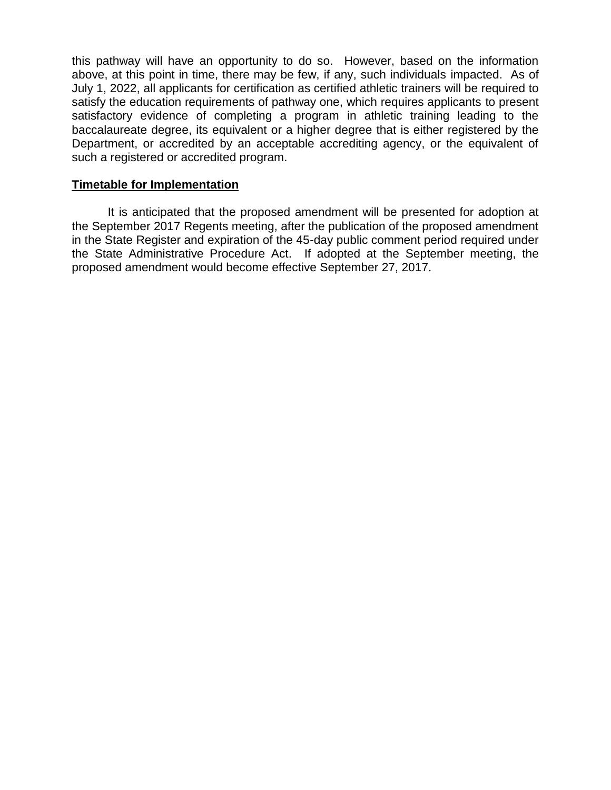this pathway will have an opportunity to do so. However, based on the information above, at this point in time, there may be few, if any, such individuals impacted. As of July 1, 2022, all applicants for certification as certified athletic trainers will be required to satisfy the education requirements of pathway one, which requires applicants to present satisfactory evidence of completing a program in athletic training leading to the baccalaureate degree, its equivalent or a higher degree that is either registered by the Department, or accredited by an acceptable accrediting agency, or the equivalent of such a registered or accredited program.

### **Timetable for Implementation**

It is anticipated that the proposed amendment will be presented for adoption at the September 2017 Regents meeting, after the publication of the proposed amendment in the State Register and expiration of the 45-day public comment period required under the State Administrative Procedure Act. If adopted at the September meeting, the proposed amendment would become effective September 27, 2017.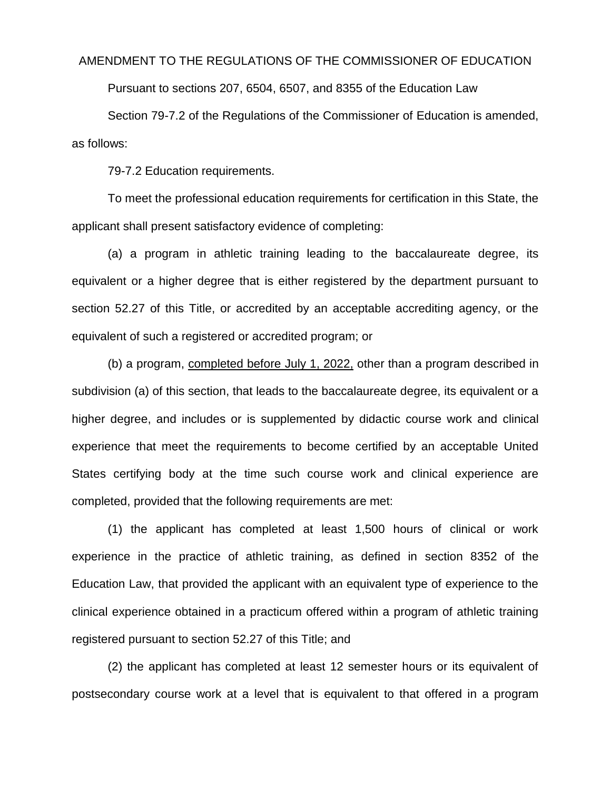#### AMENDMENT TO THE REGULATIONS OF THE COMMISSIONER OF EDUCATION

Pursuant to sections 207, 6504, 6507, and 8355 of the Education Law

Section 79-7.2 of the Regulations of the Commissioner of Education is amended, as follows:

79-7.2 Education requirements.

To meet the professional education requirements for certification in this State, the applicant shall present satisfactory evidence of completing:

(a) a program in athletic training leading to the baccalaureate degree, its equivalent or a higher degree that is either registered by the department pursuant to section 52.27 of this Title, or accredited by an acceptable accrediting agency, or the equivalent of such a registered or accredited program; or

(b) a program, completed before July 1, 2022, other than a program described in subdivision (a) of this section, that leads to the baccalaureate degree, its equivalent or a higher degree, and includes or is supplemented by didactic course work and clinical experience that meet the requirements to become certified by an acceptable United States certifying body at the time such course work and clinical experience are completed, provided that the following requirements are met:

(1) the applicant has completed at least 1,500 hours of clinical or work experience in the practice of athletic training, as defined in section 8352 of the Education Law, that provided the applicant with an equivalent type of experience to the clinical experience obtained in a practicum offered within a program of athletic training registered pursuant to section 52.27 of this Title; and

(2) the applicant has completed at least 12 semester hours or its equivalent of postsecondary course work at a level that is equivalent to that offered in a program